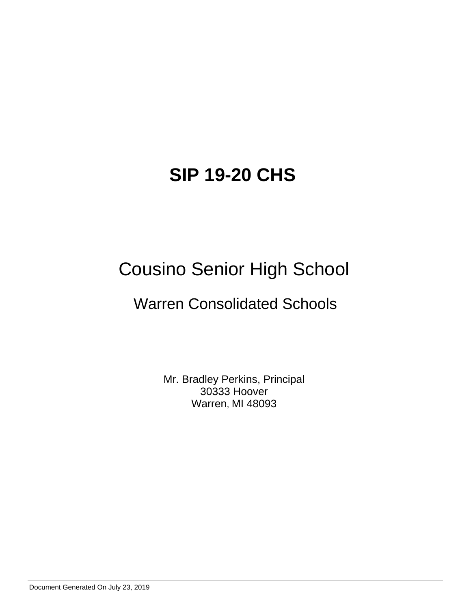# Cousino Senior High School

# Warren Consolidated Schools

Mr. Bradley Perkins, Principal 30333 Hoover Warren, MI 48093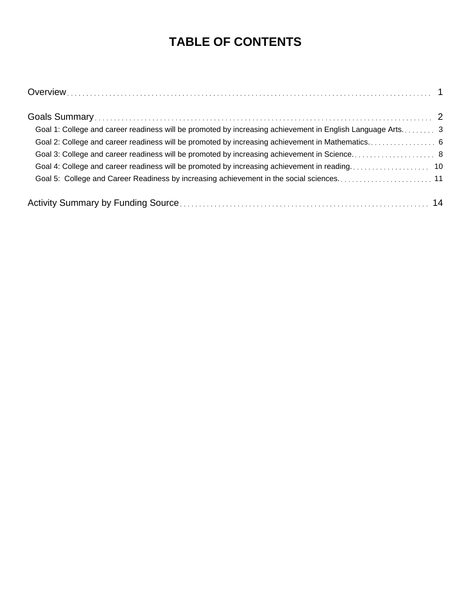## **TABLE OF CONTENTS**

| Goal 1: College and career readiness will be promoted by increasing achievement in English Language Arts 3 |
|------------------------------------------------------------------------------------------------------------|
|                                                                                                            |
|                                                                                                            |
|                                                                                                            |
|                                                                                                            |
|                                                                                                            |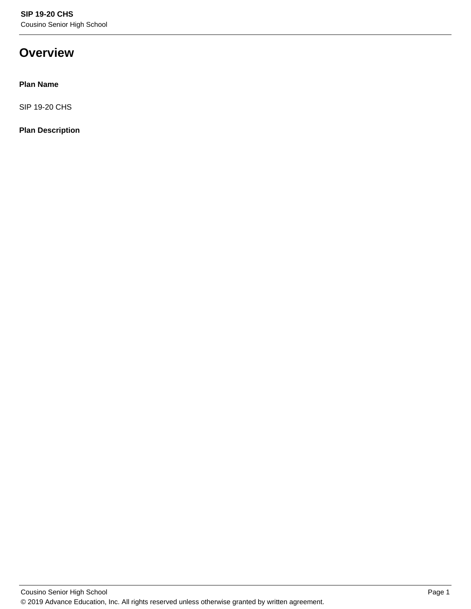### **Overview**

#### **Plan Name**

SIP 19-20 CHS

#### **Plan Description**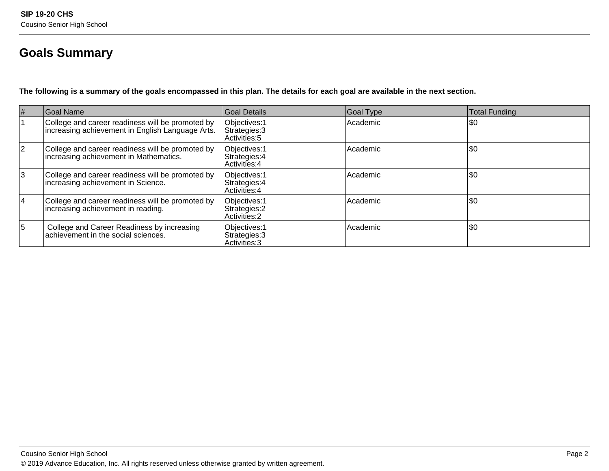### **Goals Summary**

**The following is a summary of the goals encompassed in this plan. The details for each goal are available in the next section.**

| #  | Goal Name                                                                                            | Goal Details                                           | Goal Type | <b>Total Funding</b> |
|----|------------------------------------------------------------------------------------------------------|--------------------------------------------------------|-----------|----------------------|
|    | College and career readiness will be promoted by<br>increasing achievement in English Language Arts. | Objectives: 1<br>Strategies: 3<br>Activities: 5        | Academic  | \$0                  |
| 12 | College and career readiness will be promoted by<br>increasing achievement in Mathematics.           | Objectives: 1<br>Strategies: 4<br>Activities: 4        | Academic  | \$0                  |
| 3  | College and career readiness will be promoted by<br>increasing achievement in Science.               | Objectives: 1<br>Strategies: 4<br>Activities: 4        | Academic  | \$0                  |
| 14 | College and career readiness will be promoted by<br>increasing achievement in reading.               | Objectives: 1<br>Strategies: 2<br><b>Activities: 2</b> | Academic  | \$0                  |
| 5  | College and Career Readiness by increasing<br>achievement in the social sciences.                    | Objectives: 1<br>Strategies: 3<br>Activities: 3        | Academic  | \$0                  |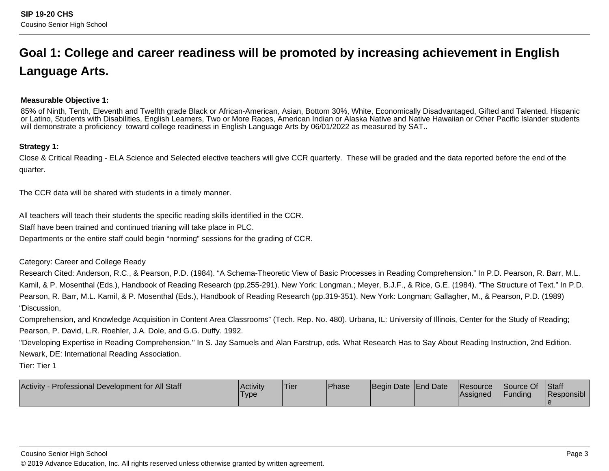# **Goal 1: College and career readiness will be promoted by increasing achievement in EnglishLanguage Arts.**

#### **Measurable Objective 1:**

85% of Ninth, Tenth, Eleventh and Twelfth grade Black or African-American, Asian, Bottom 30%, White, Economically Disadvantaged, Gifted and Talented, Hispanic or Latino, Students with Disabilities, English Learners, Two or More Races, American Indian or Alaska Native and Native Hawaiian or Other Pacific Islander studentswill demonstrate a proficiency toward college readiness in English Language Arts by 06/01/2022 as measured by SAT..

#### **Strategy 1:**

Close & Critical Reading - ELA Science and Selected elective teachers will give CCR quarterly. These will be graded and the data reported before the end of thequarter.

The CCR data will be shared with students in a timely manner.

All teachers will teach their students the specific reading skills identified in the CCR.

Staff have been trained and continued trianing will take place in PLC.

Departments or the entire staff could begin "norming" sessions for the grading of CCR.

Category: Career and College Ready

Research Cited: Anderson, R.C., & Pearson, P.D. (1984). "A Schema-Theoretic View of Basic Processes in Reading Comprehension." In P.D. Pearson, R. Barr, M.L.Kamil, & P. Mosenthal (Eds.), Handbook of Reading Research (pp.255-291). New York: Longman.; Meyer, B.J.F., & Rice, G.E. (1984). "The Structure of Text." In P.D.Pearson, R. Barr, M.L. Kamil, & P. Mosenthal (Eds.), Handbook of Reading Research (pp.319-351). New York: Longman; Gallagher, M., & Pearson, P.D. (1989)"Discussion,

Comprehension, and Knowledge Acquisition in Content Area Classrooms" (Tech. Rep. No. 480). Urbana, IL: University of Illinois, Center for the Study of Reading;Pearson, P. David, L.R. Roehler, J.A. Dole, and G.G. Duffy. 1992.

"Developing Expertise in Reading Comprehension." In S. Jay Samuels and Alan Farstrup, eds. What Research Has to Say About Reading Instruction, 2nd Edition.Newark, DE: International Reading Association.

Tier: Tier 1

| <b>Activity</b><br>. Professional Development for All Staff | <b>Activity</b><br>Type | Tier | <b>Phase</b> | Begin Date End Date | <b>Resource</b><br><b>Assigned</b> | Source Of<br>Funding | <b>Staff</b><br>Responsibl |
|-------------------------------------------------------------|-------------------------|------|--------------|---------------------|------------------------------------|----------------------|----------------------------|
|                                                             |                         |      |              |                     |                                    |                      |                            |

Cousino Senior High School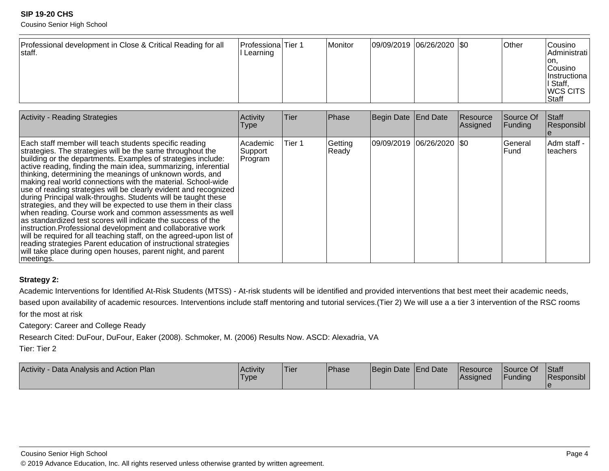Cousino Senior High School

| Professional development in Close & Critical Reading for all<br>staff. | Professiona Tier 1<br>l Learning |  | Monitor | $ 09/09/2019 06/26/2020 $ \$0 |  |  | <b>Other</b> | Cousino<br>Administrati  <br>Ton.<br><b>Cousino</b><br> Instructiona  <br>II Staff,<br><b>WCS CITS</b><br>Staff |
|------------------------------------------------------------------------|----------------------------------|--|---------|-------------------------------|--|--|--------------|-----------------------------------------------------------------------------------------------------------------|
|------------------------------------------------------------------------|----------------------------------|--|---------|-------------------------------|--|--|--------------|-----------------------------------------------------------------------------------------------------------------|

| <b>Activity - Reading Strategies</b>                                                                                                                                                                                                                                                                                                                                                                                                                                                                                                                                                                                                                                                                                                                                                                                                                                                                                                                                                                            | Activity<br><b>Type</b>          | Tier   | Phase            | Begin Date   End Date       | Resource<br>Assigned | <b>Source Of</b><br>Funding | <b>Staff</b><br>Responsibl |
|-----------------------------------------------------------------------------------------------------------------------------------------------------------------------------------------------------------------------------------------------------------------------------------------------------------------------------------------------------------------------------------------------------------------------------------------------------------------------------------------------------------------------------------------------------------------------------------------------------------------------------------------------------------------------------------------------------------------------------------------------------------------------------------------------------------------------------------------------------------------------------------------------------------------------------------------------------------------------------------------------------------------|----------------------------------|--------|------------------|-----------------------------|----------------------|-----------------------------|----------------------------|
| Each staff member will teach students specific reading<br>strategies. The strategies will be the same throughout the<br>building or the departments. Examples of strategies include:<br>active reading, finding the main idea, summarizing, inferential<br>thinking, determining the meanings of unknown words, and<br>making real world connections with the material. School-wide<br>use of reading strategies will be clearly evident and recognized<br>during Principal walk-throughs. Students will be taught these<br>strategies, and they will be expected to use them in their class<br>when reading. Course work and common assessments as well<br>as standardized test scores will indicate the success of the<br>instruction. Professional development and collaborative work<br>will be required for all teaching staff, on the agreed-upon list of<br>reading strategies Parent education of instructional strategies<br>will take place during open houses, parent night, and parent<br>meetings. | Academic <br> Support<br>Program | Tier 1 | Getting<br>Ready | 09/09/2019  06/26/2020  \$0 |                      | General<br>lFund.           | Adm staff -<br>Iteachers   |

#### **Strategy 2:**

Academic Interventions for Identified At-Risk Students (MTSS) - At-risk students will be identified and provided interventions that best meet their academic needs,

based upon availability of academic resources. Interventions include staff mentoring and tutorial services.(Tier 2) We will use a a tier 3 intervention of the RSC roomsfor the most at risk

Category: Career and College Ready

Research Cited: DuFour, DuFour, Eaker (2008). Schmoker, M. (2006) Results Now. ASCD: Alexadria, VA

Tier: Tier 2

| Activity - Data Analysis and Action Plan | Activity<br><b>Type</b> | 'Tier | <sup>I</sup> Phase | Begin Date End Date | <b>Resource</b><br><b>Assigned</b> | Source Of<br>Funding | <b>Staff</b><br>Responsibl |
|------------------------------------------|-------------------------|-------|--------------------|---------------------|------------------------------------|----------------------|----------------------------|
|                                          |                         |       |                    |                     |                                    |                      |                            |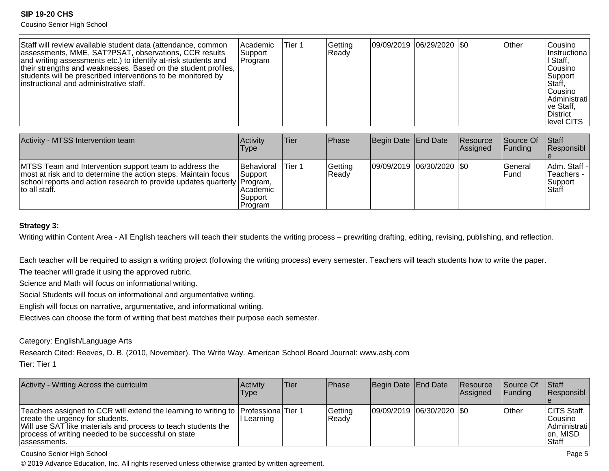Cousino Senior High School

| Staff will review available student data (attendance, common<br>Academic<br>assessments, MME, SAT?PSAT, observations, CCR results<br> Support <br>and writing assessments etc.) to identify at-risk students and<br> Program<br>their strengths and weaknesses. Based on the student profiles,<br>students will be prescribed interventions to be monitored by<br>linstructional and administrative staff. | Tier 1 | Gettina<br>Ready | 09/09/2019  06/29/2020  \$0 |  |  | <b>Other</b> | lCousino<br>Instructional<br>I Staff.<br>lCousino<br>lSupport<br>Staff,<br>lCousino.<br>Administrati<br>∣ve Staff,<br>District<br>level CITS |
|------------------------------------------------------------------------------------------------------------------------------------------------------------------------------------------------------------------------------------------------------------------------------------------------------------------------------------------------------------------------------------------------------------|--------|------------------|-----------------------------|--|--|--------------|----------------------------------------------------------------------------------------------------------------------------------------------|
|------------------------------------------------------------------------------------------------------------------------------------------------------------------------------------------------------------------------------------------------------------------------------------------------------------------------------------------------------------------------------------------------------------|--------|------------------|-----------------------------|--|--|--------------|----------------------------------------------------------------------------------------------------------------------------------------------|

| Activity - MTSS Intervention team                                                                                                                                                                                     | <b>Activity</b><br><b>Type</b>                                        | Tier   | <b>IPhase</b>    | Begin Date End Date       | Resource<br><b>Assigned</b> | Source Of<br><b>IFunding</b> | Staff<br>Responsibl                                    |
|-----------------------------------------------------------------------------------------------------------------------------------------------------------------------------------------------------------------------|-----------------------------------------------------------------------|--------|------------------|---------------------------|-----------------------------|------------------------------|--------------------------------------------------------|
| MTSS Team and Intervention support team to address the<br>most at risk and to determine the action steps. Maintain focus<br>school reports and action research to provide updates quarterly Program,<br>to all staff. | <b>Behavioral</b><br> Support <br>l Academic<br>∣Support i<br>Program | Tier 1 | Getting<br>Ready | 09/09/2019 06/30/2020 \$0 |                             | lGeneral<br>l Fund           | Adm. Staff -<br>Teachers -<br>lSupport<br><b>Staff</b> |

#### **Strategy 3:**

Writing within Content Area - All English teachers will teach their students the writing process - prewriting drafting, editing, revising, publishing, and reflection.

Each teacher will be required to assign a writing project (following the writing process) every semester. Teachers will teach students how to write the paper.

The teacher will grade it using the approved rubric.

Science and Math will focus on informational writing.

Social Students will focus on informational and argumentative writing.

English will focus on narrative, argumentative, and informational writing.

Electives can choose the form of writing that best matches their purpose each semester.

Category: English/Language Arts

Research Cited: Reeves, D. B. (2010, November). The Write Way. American School Board Journal: www.asbj.com

Tier: Tier 1

| Activity - Writing Across the curriculm                                                                                                                                                                                                                          | Activity<br>Type | Tier | <b>IPhase</b>    | Begin Date End Date        | <b>Resource</b><br>Assigned | <b>Source Of</b><br>IFundina | <b>Staff</b><br>Responsibl                                      |
|------------------------------------------------------------------------------------------------------------------------------------------------------------------------------------------------------------------------------------------------------------------|------------------|------|------------------|----------------------------|-----------------------------|------------------------------|-----------------------------------------------------------------|
| Teachers assigned to CCR will extend the learning to writing to  Professiona Tier 1<br>create the urgency for students.<br>Will use SAT like materials and process to teach students the<br>process of writing needed to be successful on state<br>lassessments. | Learning         |      | Getting<br>Ready | 09/09/2019 06/30/2020  \$0 |                             | <b>Other</b>                 | CITS Staff,<br>Cousino<br> Administrati  <br>on, MISD<br>lStaff |

Cousino Senior High School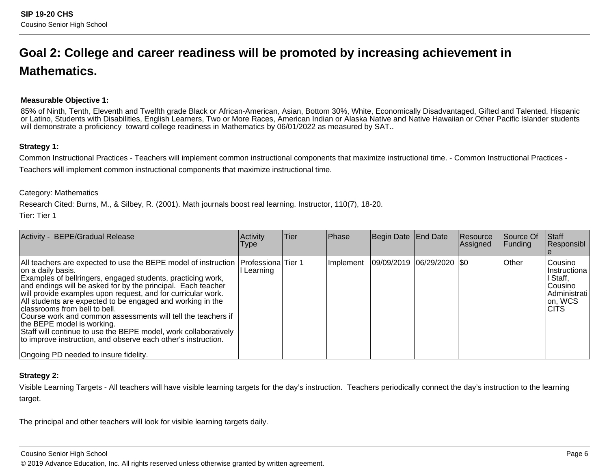## **Goal 2: College and career readiness will be promoted by increasing achievement inMathematics.**

#### **Measurable Objective 1:**

85% of Ninth, Tenth, Eleventh and Twelfth grade Black or African-American, Asian, Bottom 30%, White, Economically Disadvantaged, Gifted and Talented, Hispanic or Latino, Students with Disabilities, English Learners, Two or More Races, American Indian or Alaska Native and Native Hawaiian or Other Pacific Islander studentswill demonstrate a proficiency toward college readiness in Mathematics by 06/01/2022 as measured by SAT..

#### **Strategy 1:**

Common Instructional Practices - Teachers will implement common instructional components that maximize instructional time. - Common Instructional Practices -Teachers will implement common instructional components that maximize instructional time.

#### Category: Mathematics

Research Cited: Burns, M., & Silbey, R. (2001). Math journals boost real learning. Instructor, 110(7), 18-20.

Tier: Tier 1

| <b>BEPE/Gradual Release</b><br>Activity -                                                                                                                                                                                                                                                                                                                                                                                                                                                                                                                                                                                                                                           | Activity<br><b>Type</b> | Tier | Phase     | Begin Date End Date         | <b>Resource</b><br>Assigned | Source Of<br>Funding | Staff<br>Responsibl                                                                          |
|-------------------------------------------------------------------------------------------------------------------------------------------------------------------------------------------------------------------------------------------------------------------------------------------------------------------------------------------------------------------------------------------------------------------------------------------------------------------------------------------------------------------------------------------------------------------------------------------------------------------------------------------------------------------------------------|-------------------------|------|-----------|-----------------------------|-----------------------------|----------------------|----------------------------------------------------------------------------------------------|
| All teachers are expected to use the BEPE model of instruction   Professiona   Tier 1<br>on a daily basis.<br>Examples of bellringers, engaged students, practicing work,<br>and endings will be asked for by the principal. Each teacher<br>will provide examples upon request, and for curricular work.<br>All students are expected to be engaged and working in the<br>classrooms from bell to bell.<br>Course work and common assessments will tell the teachers if<br>the BEPE model is working.<br>Staff will continue to use the BEPE model, work collaboratively<br>to improve instruction, and observe each other's instruction.<br>Ongoing PD needed to insure fidelity. | Learning                |      | Implement | 09/09/2019  06/29/2020  \$0 |                             | Other                | Cousino<br>IInstructiona<br>I Staff,<br>lCousino<br>l Administrati<br>on, WCS<br><b>CITS</b> |

#### **Strategy 2:**

Visible Learning Targets - All teachers will have visible learning targets for the day's instruction. Teachers periodically connect the day's instruction to the learningtarget.

The principal and other teachers will look for visible learning targets daily.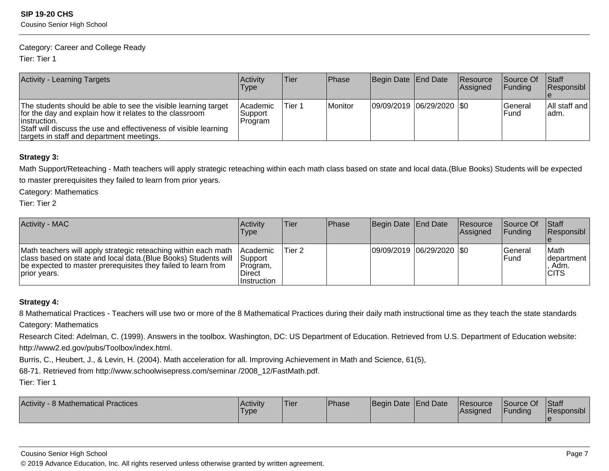#### Category: Career and College Ready

Tier: Tier 1

| <b>Activity - Learning Targets</b>                                                                                                                                                                                                                          | <b>Activity</b><br><b>Type</b>   | ∣Tier∶ | <b>IPhase</b> | Begin Date   End Date       | Resource<br>Assigned | <b>Source Of</b><br><b>IFundina</b> | <b>Staff</b><br>Responsibl |
|-------------------------------------------------------------------------------------------------------------------------------------------------------------------------------------------------------------------------------------------------------------|----------------------------------|--------|---------------|-----------------------------|----------------------|-------------------------------------|----------------------------|
| The students should be able to see the visible learning target<br>for the day and explain how it relates to the classroom<br>linstruction.<br>Staff will discuss the use and effectiveness of visible learning<br>targets in staff and department meetings. | Academic<br> Support <br>Program | Tier 1 | Monitor       | 09/09/2019  06/29/2020  \$0 |                      | lGeneral<br>l Fund                  | All staff and<br>ladm.     |

#### **Strategy 3:**

Math Support/Reteaching - Math teachers will apply strategic reteaching within each math class based on state and local data.(Blue Books) Students will be expectedto master prerequisites they failed to learn from prior years.

Category: Mathematics

Tier: Tier 2

| <b>Activity - MAC</b>                                                                                                                                                                                              | Activity<br>Type                                                              | lTier. | Phase | Begin Date End Date       | <b>Resource</b><br><b>Assigned</b> | Source Of<br>IFundina    | <b>Staff</b><br><b>Responsibl</b>                    |
|--------------------------------------------------------------------------------------------------------------------------------------------------------------------------------------------------------------------|-------------------------------------------------------------------------------|--------|-------|---------------------------|------------------------------------|--------------------------|------------------------------------------------------|
| Math teachers will apply strategic reteaching within each math<br>class based on state and local data. (Blue Books) Students will<br>be expected to master prerequisites they failed to learn from<br>prior years. | <b>Academic</b><br><b>Support</b><br>Program,<br><b>Direct</b><br>Instruction | Tier 2 |       | 09/09/2019 06/29/2020 \$0 |                                    | lGeneral<br><b>IFund</b> | lMath<br><b>Idepartment</b><br>. Adm.<br><b>CITS</b> |

#### **Strategy 4:**

8 Mathematical Practices - Teachers will use two or more of the 8 Mathematical Practices during their daily math instructional time as they teach the state standardsCategory: Mathematics

Research Cited: Adelman, C. (1999). Answers in the toolbox. Washington, DC: US Department of Education. Retrieved from U.S. Department of Education website: http://www2.ed.gov/pubs/Toolbox/index.html.

Burris, C., Heubert, J., & Levin, H. (2004). Math acceleration for all. Improving Achievement in Math and Science, 61(5),

68-71. Retrieved from http://www.schoolwisepress.com/seminar /2008\_12/FastMath.pdf.

Tier: Tier 1

| 8 Mathematical Practices<br>Activity - 8 | <b>Activity</b><br><b>Type</b> | Tier | <b>Phase</b> | Begin Date End Date | Resource<br>Assianed | Source Of<br><b>Funding</b> | <b>Staff</b><br>Responsibl |
|------------------------------------------|--------------------------------|------|--------------|---------------------|----------------------|-----------------------------|----------------------------|
|                                          |                                |      |              |                     |                      |                             |                            |

Cousino Senior High School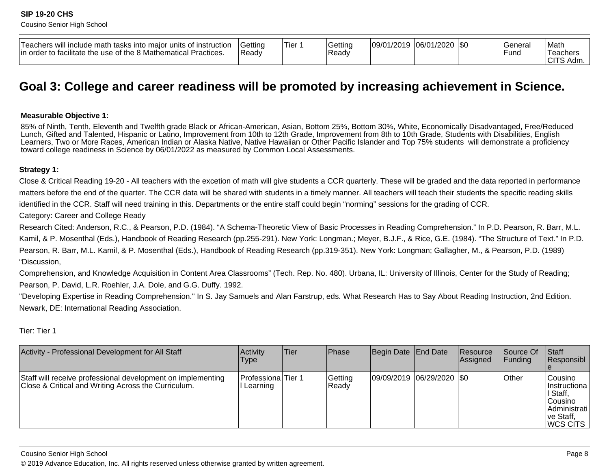| instruction<br>Teachers will include math tasks into maior units of<br>e the use of the 8 Mathematical F<br>lin order to facilitate<br>Practices. | Gettinc<br>Ready | Tier | Getting<br>Read | 109/01/2019 | 106/01/2020<br>ZUZU | 1\$C | General<br>—<br>-und | Math<br>Teachers<br>$\bigcap$<br>Adm.<br>◡ |
|---------------------------------------------------------------------------------------------------------------------------------------------------|------------------|------|-----------------|-------------|---------------------|------|----------------------|--------------------------------------------|
|---------------------------------------------------------------------------------------------------------------------------------------------------|------------------|------|-----------------|-------------|---------------------|------|----------------------|--------------------------------------------|

### **Goal 3: College and career readiness will be promoted by increasing achievement in Science.**

#### **Measurable Objective 1:**

85% of Ninth, Tenth, Eleventh and Twelfth grade Black or African-American, Asian, Bottom 25%, Bottom 30%, White, Economically Disadvantaged, Free/ReducedLunch, Gifted and Talented, Hispanic or Latino, Improvement from 10th to 12th Grade, Improvement from 8th to 10th Grade, Students with Disabilities, English Learners, Two or More Races, American Indian or Alaska Native, Native Hawaiian or Other Pacific Islander and Top 75% students will demonstrate a proficiencytoward college readiness in Science by 06/01/2022 as measured by Common Local Assessments.

#### **Strategy 1:**

Close & Critical Reading 19-20 - All teachers with the excetion of math will give students a CCR quarterly. These will be graded and the data reported in performancematters before the end of the quarter. The CCR data will be shared with students in a timely manner. All teachers will teach their students the specific reading skillsidentified in the CCR. Staff will need training in this. Departments or the entire staff could begin "norming" sessions for the grading of CCR.

Category: Career and College Ready

Research Cited: Anderson, R.C., & Pearson, P.D. (1984). "A Schema-Theoretic View of Basic Processes in Reading Comprehension." In P.D. Pearson, R. Barr, M.L.Kamil, & P. Mosenthal (Eds.), Handbook of Reading Research (pp.255-291). New York: Longman.; Meyer, B.J.F., & Rice, G.E. (1984). "The Structure of Text." In P.D.Pearson, R. Barr, M.L. Kamil, & P. Mosenthal (Eds.), Handbook of Reading Research (pp.319-351). New York: Longman; Gallagher, M., & Pearson, P.D. (1989)"Discussion,

Comprehension, and Knowledge Acquisition in Content Area Classrooms" (Tech. Rep. No. 480). Urbana, IL: University of Illinois, Center for the Study of Reading;Pearson, P. David, L.R. Roehler, J.A. Dole, and G.G. Duffy. 1992.

"Developing Expertise in Reading Comprehension." In S. Jay Samuels and Alan Farstrup, eds. What Research Has to Say About Reading Instruction, 2nd Edition.Newark, DE: International Reading Association.

Tier: Tier 1

| Activity - Professional Development for All Staff                                                                  | Activity<br><b>Type</b>                | Tier | Phase            | Begin Date End Date           | <b>IResource</b><br><b>Assigned</b> | Source Of<br><b>IFunding</b> | Staff<br>Responsibl                                                                                               |
|--------------------------------------------------------------------------------------------------------------------|----------------------------------------|------|------------------|-------------------------------|-------------------------------------|------------------------------|-------------------------------------------------------------------------------------------------------------------|
| Staff will receive professional development on implementing<br>Close & Critical and Writing Across the Curriculum. | <b>IProfessionalTier 1</b><br>Learning |      | Getting<br>Ready | $ 09/09/2019 06/29/2020 $ \$0 |                                     | <b>Other</b>                 | <b>Cousino</b><br>Ilnstructional<br>II Staff,<br><b>Cousino</b><br>Administrati<br>∣ve Staff,<br><b>IWCS CITS</b> |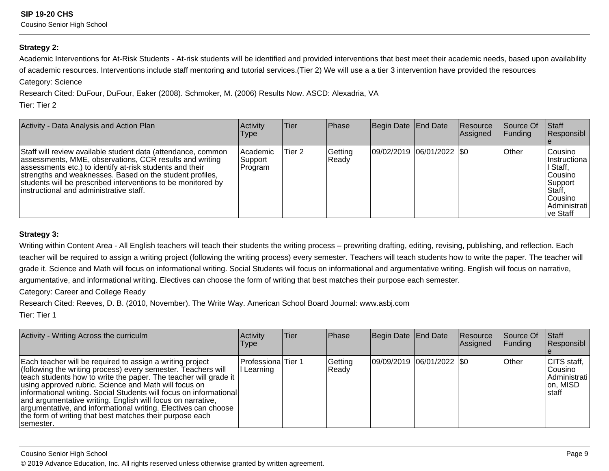#### **Strategy 2:**

Academic Interventions for At-Risk Students - At-risk students will be identified and provided interventions that best meet their academic needs, based upon availabilityof academic resources. Interventions include staff mentoring and tutorial services.(Tier 2) We will use a a tier 3 intervention have provided the resources

Category: Science

Research Cited: DuFour, DuFour, Eaker (2008). Schmoker, M. (2006) Results Now. ASCD: Alexadria, VA

Tier: Tier 2

| Activity - Data Analysis and Action Plan                                                                                                                                                                                                                                                                                                                    | Activity<br><b>Type</b>           | <b>Tier</b> | <b>Phase</b>     | Begin Date End Date         | <b>Resource</b><br>Assigned | <b>Source Of</b><br><b>Funding</b> | Staff<br>Responsibl                                                                                                 |
|-------------------------------------------------------------------------------------------------------------------------------------------------------------------------------------------------------------------------------------------------------------------------------------------------------------------------------------------------------------|-----------------------------------|-------------|------------------|-----------------------------|-----------------------------|------------------------------------|---------------------------------------------------------------------------------------------------------------------|
| Staff will review available student data (attendance, common<br>assessments, MME, observations, CCR results and writing<br>assessments etc.) to identify at-risk students and their<br>strengths and weaknesses. Based on the student profiles,<br>students will be prescribed interventions to be monitored by<br>linstructional and administrative staff. | l Academic<br> Support<br>Program | Tier 2      | Getting<br>Ready | 09/02/2019 06/01/2022   \$0 |                             | <b>Other</b>                       | lCousino l<br>IInstructiona<br>l Staff,<br>lCousino.<br> Support<br>Staff,<br>Cousino<br> Administrati<br>lve Staff |

#### **Strategy 3:**

Writing within Content Area - All English teachers will teach their students the writing process – prewriting drafting, editing, revising, publishing, and reflection. Each teacher will be required to assign a writing project (following the writing process) every semester. Teachers will teach students how to write the paper. The teacher willgrade it. Science and Math will focus on informational writing. Social Students will focus on informational and argumentative writing. English will focus on narrative,argumentative, and informational writing. Electives can choose the form of writing that best matches their purpose each semester.

Category: Career and College Ready

Research Cited: Reeves, D. B. (2010, November). The Write Way. American School Board Journal: www.asbj.com

Tier: Tier 1

| Activity - Writing Across the curriculm                                                                                                                                                                                                                                                                                                                                                                                                                                                                                                   | Activity<br>Type                 | <b>ITier</b> | Phase            | Begin Date End Date |                           | Resource<br>Assigned | Source Of<br><b>Funding</b> | <b>Staff</b><br>Responsibl                                             |
|-------------------------------------------------------------------------------------------------------------------------------------------------------------------------------------------------------------------------------------------------------------------------------------------------------------------------------------------------------------------------------------------------------------------------------------------------------------------------------------------------------------------------------------------|----------------------------------|--------------|------------------|---------------------|---------------------------|----------------------|-----------------------------|------------------------------------------------------------------------|
| Each teacher will be required to assign a writing project<br>(following the writing process) every semester. Teachers will<br>teach students how to write the paper. The teacher will grade it<br>using approved rubric. Science and Math will focus on<br> informational writing. Social Students will focus on informational <br>and argumentative writing. English will focus on narrative,<br>argumentative, and informational writing. Electives can choose<br>the form of writing that best matches their purpose each<br>semester. | Professiona Tier 1<br>I Learning |              | Getting<br>Ready |                     | 09/09/2019 06/01/2022 \$0 |                      | <b>Other</b>                | CITS staff,<br>lCousino l<br>Administrati<br>on, MISD<br><b>Istaff</b> |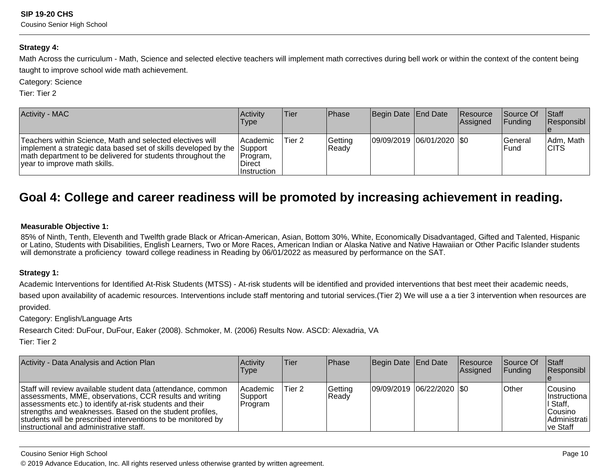#### **Strategy 4:**

Math Across the curriculum - Math, Science and selected elective teachers will implement math correctives during bell work or within the context of the content beingtaught to improve school wide math achievement.

Category: Science

Tier: Tier 2

| <b>Activity - MAC</b>                                                                                                                                                                                                                 | <b>Activity</b><br>Type                               | Tier   | l Phase          | Begin Date End Date         | <b>Resource</b><br>Assigned | Source Of<br><b>IFunding</b> | <b>∣Staff</b><br>Responsibl |
|---------------------------------------------------------------------------------------------------------------------------------------------------------------------------------------------------------------------------------------|-------------------------------------------------------|--------|------------------|-----------------------------|-----------------------------|------------------------------|-----------------------------|
| Teachers within Science, Math and selected electives will<br> implement a strategic data based set of skills developed by the  Support<br>math department to be delivered for students throughout the<br>vear to improve math skills. | Academic <br>Program,<br><b>Direct</b><br>Instruction | Tier 2 | Getting<br>Ready | 09/09/2019  06/01/2020  \$0 |                             | <b>General</b><br>lFund      | Adm, Math<br><b>ICITS</b>   |

### **Goal 4: College and career readiness will be promoted by increasing achievement in reading.**

#### **Measurable Objective 1:**

85% of Ninth, Tenth, Eleventh and Twelfth grade Black or African-American, Asian, Bottom 30%, White, Economically Disadvantaged, Gifted and Talented, Hispanic or Latino, Students with Disabilities, English Learners, Two or More Races, American Indian or Alaska Native and Native Hawaiian or Other Pacific Islander studentswill demonstrate a proficiency toward college readiness in Reading by 06/01/2022 as measured by performance on the SAT.

#### **Strategy 1:**

Academic Interventions for Identified At-Risk Students (MTSS) - At-risk students will be identified and provided interventions that best meet their academic needs,

based upon availability of academic resources. Interventions include staff mentoring and tutorial services.(Tier 2) We will use a a tier 3 intervention when resources areprovided.

Category: English/Language Arts

Research Cited: DuFour, DuFour, Eaker (2008). Schmoker, M. (2006) Results Now. ASCD: Alexadria, VA

Tier: Tier 2

| Activity - Data Analysis and Action Plan                                                                                                                                                                                                                                                                                                                    | <b>Activity</b><br><b>Type</b>         | lTier. | <b>IPhase</b>    | Begin Date End Date           | <b>Resource</b><br><b>Assigned</b> | <b>Source Of</b><br>IFundina | $\vert$ Staff<br>Responsibl                                                             |
|-------------------------------------------------------------------------------------------------------------------------------------------------------------------------------------------------------------------------------------------------------------------------------------------------------------------------------------------------------------|----------------------------------------|--------|------------------|-------------------------------|------------------------------------|------------------------------|-----------------------------------------------------------------------------------------|
| Staff will review available student data (attendance, common<br>assessments, MME, observations, CCR results and writing<br>assessments etc.) to identify at-risk students and their<br>strengths and weaknesses. Based on the student profiles,<br>students will be prescribed interventions to be monitored by<br>linstructional and administrative staff. | <b>Academic</b><br> Support<br>Program | Tier 2 | Getting<br>Ready | $ 09/09/2019 06/22/2020 $ \$0 |                                    | <b>Other</b>                 | lCousino l<br>Ilnstructiona l<br>I Staff.<br>lCousino l<br> Administrati  <br>lve Staff |

#### Cousino Senior High School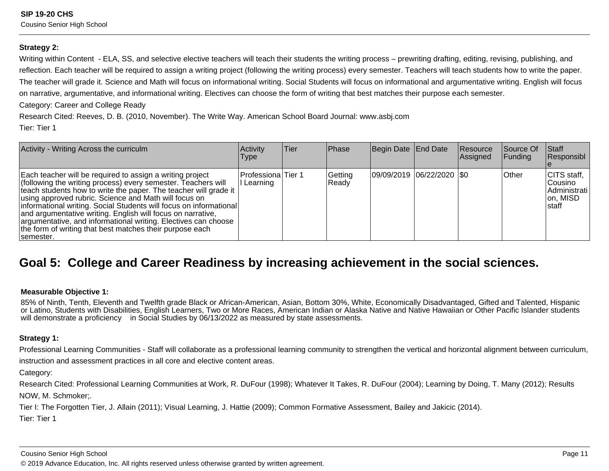#### **Strategy 2:**

Writing within Content - ELA, SS, and selective elective teachers will teach their students the writing process – prewriting drafting, editing, revising, publishing, andreflection. Each teacher will be required to assign a writing project (following the writing process) every semester. Teachers will teach students how to write the paper.The teacher will grade it. Science and Math will focus on informational writing. Social Students will focus on informational and argumentative writing. English will focuson narrative, argumentative, and informational writing. Electives can choose the form of writing that best matches their purpose each semester.

Category: Career and College Ready

Research Cited: Reeves, D. B. (2010, November). The Write Way. American School Board Journal: www.asbj.comTier: Tier 1

| Activity - Writing Across the curriculm                                                                                                                                                                                                                                                                                                                                                                                                                                                                                                   | Activity<br><b>Type</b>          | Tier | <b>Phase</b>     | Begin Date End Date |                             | Resource<br>Assigned | Source Of<br> Funding | <b>Staff</b><br>Responsibl                                             |
|-------------------------------------------------------------------------------------------------------------------------------------------------------------------------------------------------------------------------------------------------------------------------------------------------------------------------------------------------------------------------------------------------------------------------------------------------------------------------------------------------------------------------------------------|----------------------------------|------|------------------|---------------------|-----------------------------|----------------------|-----------------------|------------------------------------------------------------------------|
| Each teacher will be required to assign a writing project<br>(following the writing process) every semester. Teachers will<br>teach students how to write the paper. The teacher will grade it<br>using approved rubric. Science and Math will focus on<br> informational writing. Social Students will focus on informational <br>and argumentative writing. English will focus on narrative,<br>argumentative, and informational writing. Electives can choose<br>the form of writing that best matches their purpose each<br>semester. | Professiona Tier 1<br>I Learning |      | Getting<br>Ready |                     | 09/09/2019  06/22/2020  \$0 |                      | <b>Other</b>          | CITS staff,<br>lCousino l<br>Administrati<br>on, MISD<br><b>Istaff</b> |

### **Goal 5: College and Career Readiness by increasing achievement in the social sciences.**

#### **Measurable Objective 1:**

85% of Ninth, Tenth, Eleventh and Twelfth grade Black or African-American, Asian, Bottom 30%, White, Economically Disadvantaged, Gifted and Talented, Hispanic or Latino, Students with Disabilities, English Learners, Two or More Races, American Indian or Alaska Native and Native Hawaiian or Other Pacific Islander studentswill demonstrate a proficiency in Social Studies by 06/13/2022 as measured by state assessments.

#### **Strategy 1:**

Professional Learning Communities - Staff will collaborate as a professional learning community to strengthen the vertical and horizontal alignment between curriculum,instruction and assessment practices in all core and elective content areas.

Category:

Research Cited: Professional Learning Communities at Work, R. DuFour (1998); Whatever It Takes, R. DuFour (2004); Learning by Doing, T. Many (2012); ResultsNOW, M. Schmoker;.

Tier I: The Forgotten Tier, J. Allain (2011); Visual Learning, J. Hattie (2009); Common Formative Assessment, Bailey and Jakicic (2014).

Tier: Tier 1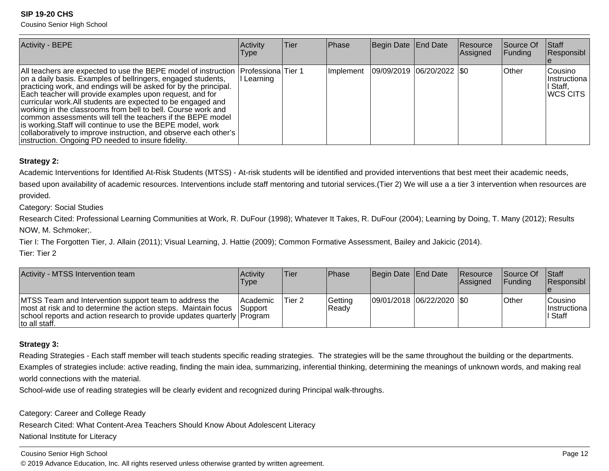Cousino Senior High School

| <b>Activity - BEPE</b>                                                                                                                                                                                                                                                                                                                                                                                                                                                                                                                                                                                                                                                          | Activity<br><b>Type</b> | lTier. | Phase | Begin Date End Date                       | Resource<br>Assigned | Source Of<br><b>Funding</b> | <b>Staff</b><br>Responsibl                             |
|---------------------------------------------------------------------------------------------------------------------------------------------------------------------------------------------------------------------------------------------------------------------------------------------------------------------------------------------------------------------------------------------------------------------------------------------------------------------------------------------------------------------------------------------------------------------------------------------------------------------------------------------------------------------------------|-------------------------|--------|-------|-------------------------------------------|----------------------|-----------------------------|--------------------------------------------------------|
| All teachers are expected to use the BEPE model of instruction   Professiona   Tier 1<br>on a daily basis. Examples of bellringers, engaged students,<br>practicing work, and endings will be asked for by the principal.<br>Each teacher will provide examples upon request, and for<br>curricular work. All students are expected to be engaged and<br>working in the classrooms from bell to bell. Course work and<br>common assessments will tell the teachers if the BEPE model<br>is working. Staff will continue to use the BEPE model, work<br>collaboratively to improve instruction, and observe each other's  <br>instruction. Ongoing PD needed to insure fidelity. | Learning                |        |       | Implement   09/09/2019   06/20/2022   \$0 |                      | <b>Other</b>                | lCousino l<br> Instructiona  <br>∣ Staff,<br> WCS CITS |

#### **Strategy 2:**

Academic Interventions for Identified At-Risk Students (MTSS) - At-risk students will be identified and provided interventions that best meet their academic needs,

based upon availability of academic resources. Interventions include staff mentoring and tutorial services.(Tier 2) We will use a a tier 3 intervention when resources areprovided.

Category: Social Studies

Research Cited: Professional Learning Communities at Work, R. DuFour (1998); Whatever It Takes, R. DuFour (2004); Learning by Doing, T. Many (2012); ResultsNOW, M. Schmoker;.

Tier I: The Forgotten Tier, J. Allain (2011); Visual Learning, J. Hattie (2009); Common Formative Assessment, Bailey and Jakicic (2014).

Tier: Tier 2

| Activity - MTSS Intervention team                                                                                                                                                                                     | Activity<br>Type                  | lTier. | Phase             | Begin Date End Date         | <b>Resource</b><br>Assigned | <b>Source Of</b><br><b>IFundina</b> | <b>Staff</b><br><b>Responsibl</b>    |
|-----------------------------------------------------------------------------------------------------------------------------------------------------------------------------------------------------------------------|-----------------------------------|--------|-------------------|-----------------------------|-----------------------------|-------------------------------------|--------------------------------------|
| MTSS Team and Intervention support team to address the<br>most at risk and to determine the action steps. Maintain focus<br>school reports and action research to provide updates quarterly Program<br>Ito all staff. | <b>Academic</b><br><b>Support</b> | Tier 2 | Gettina<br>'Ready | 09/01/2018  06/22/2020  \$0 |                             | <b>Other</b>                        | lCousino.<br>Instructiona<br>l Staff |

#### **Strategy 3:**

Reading Strategies - Each staff member will teach students specific reading strategies. The strategies will be the same throughout the building or the departments.Examples of strategies include: active reading, finding the main idea, summarizing, inferential thinking, determining the meanings of unknown words, and making realworld connections with the material.

School-wide use of reading strategies will be clearly evident and recognized during Principal walk-throughs.

Category: Career and College Ready

Research Cited: What Content-Area Teachers Should Know About Adolescent Literacy

National Institute for Literacy

Cousino Senior High School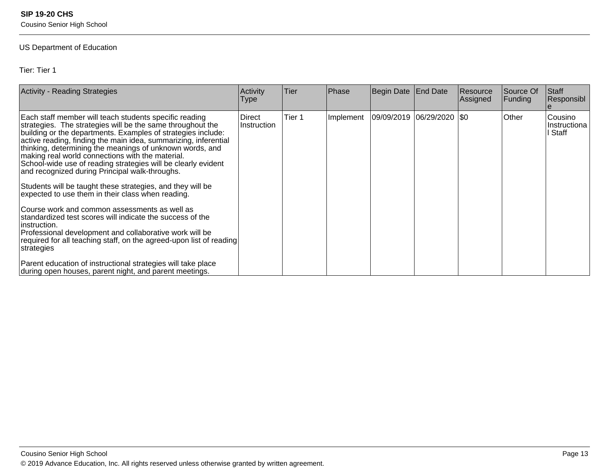Cousino Senior High School

#### US Department of Education

Tier: Tier 1

| <b>Activity - Reading Strategies</b>                                                                                                                                                                                                                                                                                                                                                                                                                                                                                                                                                                                                                                                                                                                                                                                                                                                        | Activity<br>Type      | Tier              | Phase     | Begin Date End Date         | <b>Resource</b><br>Assigned | Source Of<br>Funding | Staff<br>Responsibl                |
|---------------------------------------------------------------------------------------------------------------------------------------------------------------------------------------------------------------------------------------------------------------------------------------------------------------------------------------------------------------------------------------------------------------------------------------------------------------------------------------------------------------------------------------------------------------------------------------------------------------------------------------------------------------------------------------------------------------------------------------------------------------------------------------------------------------------------------------------------------------------------------------------|-----------------------|-------------------|-----------|-----------------------------|-----------------------------|----------------------|------------------------------------|
| Each staff member will teach students specific reading<br>strategies. The strategies will be the same throughout the<br>building or the departments. Examples of strategies include:<br>active reading, finding the main idea, summarizing, inferential<br>thinking, determining the meanings of unknown words, and<br>making real world connections with the material.<br>School-wide use of reading strategies will be clearly evident<br>and recognized during Principal walk-throughs.<br>Students will be taught these strategies, and they will be<br>expected to use them in their class when reading.<br>Course work and common assessments as well as<br>standardized test scores will indicate the success of the<br>instruction.<br>Professional development and collaborative work will be<br>required for all teaching staff, on the agreed-upon list of reading<br>strategies | Direct<br>Instruction | Tier <sub>1</sub> | Implement | 09/09/2019  06/29/2020  \$0 |                             | Other                | Cousino<br>Instructiona<br>I Staff |
| Parent education of instructional strategies will take place<br>during open houses, parent night, and parent meetings.                                                                                                                                                                                                                                                                                                                                                                                                                                                                                                                                                                                                                                                                                                                                                                      |                       |                   |           |                             |                             |                      |                                    |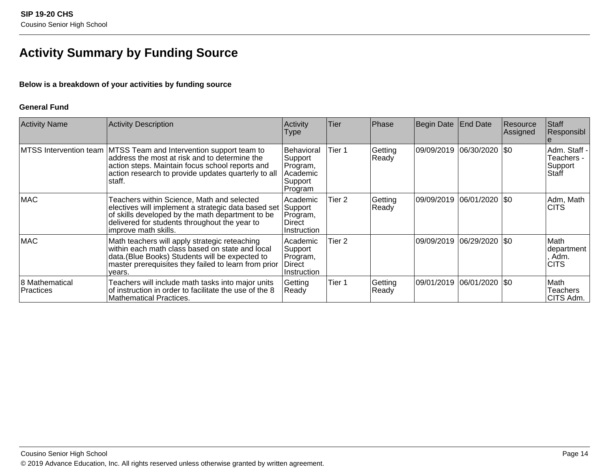### **Activity Summary by Funding Source**

#### **Below is a breakdown of your activities by funding source**

#### **General Fund**

| <b>Activity Name</b>               | Activity Description                                                                                                                                                                                                                     | Activity<br>Type                                                    | Tier   | Phase            | Begin Date | <b>End Date</b>    | Resource<br> Assigned | Staff<br>Responsibl                            |
|------------------------------------|------------------------------------------------------------------------------------------------------------------------------------------------------------------------------------------------------------------------------------------|---------------------------------------------------------------------|--------|------------------|------------|--------------------|-----------------------|------------------------------------------------|
|                                    | MTSS Intervention team   MTSS Team and Intervention support team to<br>address the most at risk and to determine the<br>action steps. Maintain focus school reports and<br>action research to provide updates quarterly to all<br>staff. | Behavioral<br>Support<br>Program,<br>Academic<br>Support<br>Program | Tier 1 | Getting<br>Ready | 09/09/2019 | $ 06/30/2020 $ \$0 |                       | Adm. Staff -<br>Teachers -<br>Support<br>Staff |
| <b>MAC</b>                         | Teachers within Science, Math and selected<br>electives will implement a strategic data based set<br>of skills developed by the math department to be<br>delivered for students throughout the year to<br>improve math skills.           | Academic<br>Support<br>Program,<br>Direct<br>Instruction            | Tier 2 | Getting<br>Ready | 09/09/2019 | 06/01/2020   \$0   |                       | Adm, Math<br><b>CITS</b>                       |
| <b>MAC</b>                         | Math teachers will apply strategic reteaching<br>within each math class based on state and local<br>data. (Blue Books) Students will be expected to<br>master prerequisites they failed to learn from prior<br>vears.                    | Academic<br>Support<br>Program,<br>Direct<br>Instruction            | Tier 2 |                  | 09/09/2019 | $ 06/29/2020 $ \$0 |                       | Math<br> department<br>. Adm.<br><b>CITS</b>   |
| 8 Mathematical<br><b>Practices</b> | Teachers will include math tasks into major units<br>of instruction in order to facilitate the use of the 8<br><b>Mathematical Practices.</b>                                                                                            | Getting<br>Ready                                                    | Tier 1 | Getting<br>Ready | 09/01/2019 | $ 06/01/2020 $ \$0 |                       | lMath<br>Teachers<br>CITS Adm.                 |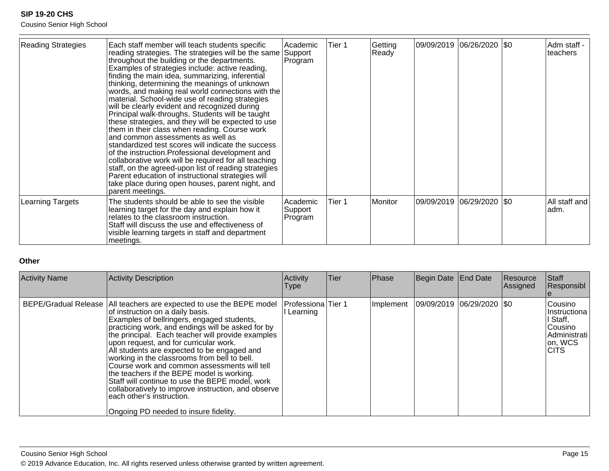Cousino Senior High School

| <b>Reading Strategies</b> | Each staff member will teach students specific<br>reading strategies. The strategies will be the same<br>throughout the building or the departments.<br>Examples of strategies include: active reading,<br>finding the main idea, summarizing, inferential<br>thinking, determining the meanings of unknown<br>words, and making real world connections with the<br>material. School-wide use of reading strategies<br>will be clearly evident and recognized during<br>Principal walk-throughs. Students will be taught<br>these strategies, and they will be expected to use<br>them in their class when reading. Course work<br>and common assessments as well as<br>standardized test scores will indicate the success<br>of the instruction. Professional development and<br>collaborative work will be required for all teaching<br>staff, on the agreed-upon list of reading strategies<br>Parent education of instructional strategies will<br>take place during open houses, parent night, and<br>parent meetings. | Academic<br>Support<br>Program | Tier 1 | Getting<br>Ready | 09/09/2019  06/26/2020  \$0 |      | Adm staff -<br>teachers |
|---------------------------|-----------------------------------------------------------------------------------------------------------------------------------------------------------------------------------------------------------------------------------------------------------------------------------------------------------------------------------------------------------------------------------------------------------------------------------------------------------------------------------------------------------------------------------------------------------------------------------------------------------------------------------------------------------------------------------------------------------------------------------------------------------------------------------------------------------------------------------------------------------------------------------------------------------------------------------------------------------------------------------------------------------------------------|--------------------------------|--------|------------------|-----------------------------|------|-------------------------|
| Learning Targets          | The students should be able to see the visible<br>learning target for the day and explain how it<br>relates to the classroom instruction.<br>Staff will discuss the use and effectiveness of<br>visible learning targets in staff and department<br>meetings.                                                                                                                                                                                                                                                                                                                                                                                                                                                                                                                                                                                                                                                                                                                                                               | Academic<br>Support<br>Program | Tier 1 | Monitor          | 09/09/2019  06/29/2020      | I\$0 | All staff and<br>adm.   |

#### **Other**

| <b>Activity Name</b> | Activity Description                                                                                                                                                                                                                                                                                                                                                                                                                                                                                                                                                                                                                                                                      | Activity<br>Type                      | <b>Tier</b> | Phase     | Begin Date End Date       | Resource<br>Assigned | Staff<br>Responsibl                                                                           |
|----------------------|-------------------------------------------------------------------------------------------------------------------------------------------------------------------------------------------------------------------------------------------------------------------------------------------------------------------------------------------------------------------------------------------------------------------------------------------------------------------------------------------------------------------------------------------------------------------------------------------------------------------------------------------------------------------------------------------|---------------------------------------|-------------|-----------|---------------------------|----------------------|-----------------------------------------------------------------------------------------------|
|                      | BEPE/Gradual Release   All teachers are expected to use the BEPE model<br>of instruction on a daily basis.<br>Examples of bellringers, engaged students,<br>practicing work, and endings will be asked for by<br>the principal. Each teacher will provide examples<br>upon request, and for curricular work.<br>All students are expected to be engaged and<br>working in the classrooms from bell to bell.<br>Course work and common assessments will tell<br>the teachers if the BEPE model is working.<br>Staff will continue to use the BEPE model, work<br>collaboratively to improve instruction, and observe<br>each other's instruction.<br>Ongoing PD needed to insure fidelity. | <b>Professiona</b> Tier 1<br>Learning |             | Implement | 09/09/2019 06/29/2020 \$0 |                      | Cousino<br>IInstructiona<br>I Staff,<br>lCousino l<br> Administrati<br>on, WCS<br><b>CITS</b> |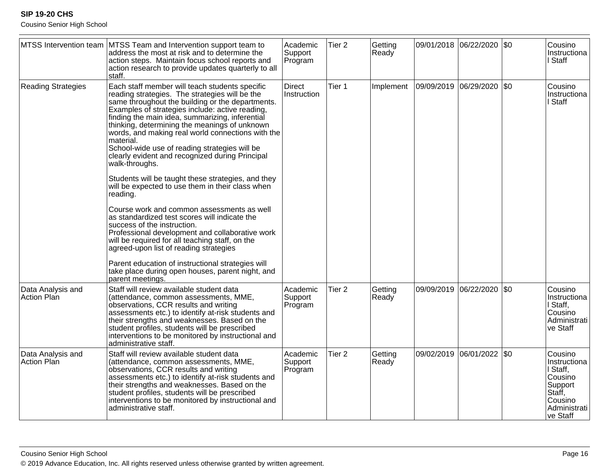Cousino Senior High School

|                                  | MTSS Intervention team MTSS Team and Intervention support team to<br>address the most at risk and to determine the<br>action steps. Maintain focus school reports and<br>action research to provide updates quarterly to all<br>staff.                                                                                                                                                                                                                                                                                                                                                                        | Academic<br>Support<br>Program | Tier <sub>2</sub> | Getting<br>Ready |                       | 09/01/2018 06/22/2020 | $\sqrt{50}$ | Cousino<br>Instructiona<br>I Staff                                                                         |
|----------------------------------|---------------------------------------------------------------------------------------------------------------------------------------------------------------------------------------------------------------------------------------------------------------------------------------------------------------------------------------------------------------------------------------------------------------------------------------------------------------------------------------------------------------------------------------------------------------------------------------------------------------|--------------------------------|-------------------|------------------|-----------------------|-----------------------|-------------|------------------------------------------------------------------------------------------------------------|
| <b>Reading Strategies</b>        | Each staff member will teach students specific<br>reading strategies. The strategies will be the<br>same throughout the building or the departments.<br>Examples of strategies include: active reading,<br>finding the main idea, summarizing, inferential<br>thinking, determining the meanings of unknown<br>words, and making real world connections with the<br>material.<br>School-wide use of reading strategies will be<br>clearly evident and recognized during Principal<br>walk-throughs.<br>Students will be taught these strategies, and they<br>will be expected to use them in their class when | <b>Direct</b><br>Instruction   | Tier 1            | Implement        | 09/09/2019 06/29/2020 |                       | $ $ \$0     | Cousino<br>Instructiona<br>I Staff                                                                         |
|                                  | reading.<br>Course work and common assessments as well<br>as standardized test scores will indicate the<br>success of the instruction.<br>Professional development and collaborative work<br>will be required for all teaching staff, on the<br>agreed-upon list of reading strategies<br>Parent education of instructional strategies will<br>take place during open houses, parent night, and                                                                                                                                                                                                               |                                |                   |                  |                       |                       |             |                                                                                                            |
| Data Analysis and<br>Action Plan | parent meetings.<br>Staff will review available student data<br>(attendance, common assessments, MME,<br>observations, CCR results and writing<br>assessments etc.) to identify at-risk students and<br>their strengths and weaknesses. Based on the<br>student profiles, students will be prescribed<br>interventions to be monitored by instructional and<br>administrative staff.                                                                                                                                                                                                                          | Academic<br>Support<br>Program | Tier <sub>2</sub> | Getting<br>Ready |                       | 09/09/2019 06/22/2020 | \$0         | Cousino<br>Instructiona<br>I Staff,<br>Cousino<br>Administrati<br>ve Staff                                 |
| Data Analysis and<br>Action Plan | Staff will review available student data<br>(attendance, common assessments, MME,<br>observations, CCR results and writing<br>assessments etc.) to identify at-risk students and<br>their strengths and weaknesses. Based on the<br>student profiles, students will be prescribed<br>interventions to be monitored by instructional and<br>administrative staff.                                                                                                                                                                                                                                              | Academic<br>Support<br>Program | Tier <sub>2</sub> | Getting<br>Ready |                       | 09/02/2019 06/01/2022 | $\sqrt{50}$ | Cousino<br>Instructiona<br>I Staff,<br>Cousino<br>Support<br>Staff,<br>Cousino<br>Administrati<br>ve Staff |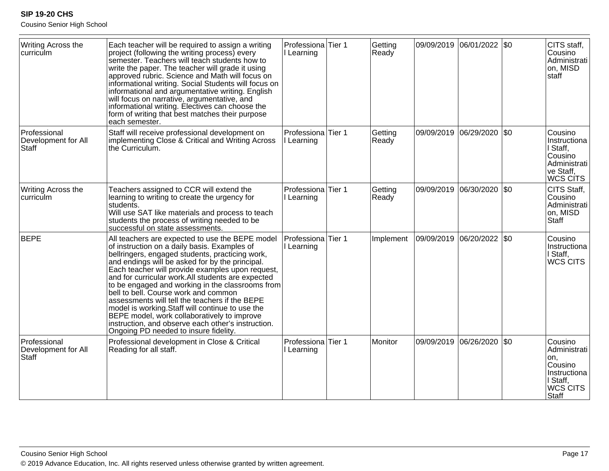Cousino Senior High School

| Writing Across the<br>curriculm                     | Each teacher will be required to assign a writing<br>project (following the writing process) every<br>semester. Teachers will teach students how to<br>write the paper. The teacher will grade it using<br>approved rubric. Science and Math will focus on<br>informational writing. Social Students will focus on<br>informational and argumentative writing. English<br>will focus on narrative, argumentative, and<br>informational writing. Electives can choose the<br>form of writing that best matches their purpose<br>each semester.                                                                                                                   | Professiona Tier 1<br>I Learning          |        | Getting<br>Ready | 09/09/2019 06/01/2022 \$0   |             | CITS staff,<br>Cousino<br>Administrati<br>on, MISD<br>staff                                 |
|-----------------------------------------------------|-----------------------------------------------------------------------------------------------------------------------------------------------------------------------------------------------------------------------------------------------------------------------------------------------------------------------------------------------------------------------------------------------------------------------------------------------------------------------------------------------------------------------------------------------------------------------------------------------------------------------------------------------------------------|-------------------------------------------|--------|------------------|-----------------------------|-------------|---------------------------------------------------------------------------------------------|
| Professional<br>Development for All<br><b>Staff</b> | Staff will receive professional development on<br>implementing Close & Critical and Writing Across<br>the Curriculum.                                                                                                                                                                                                                                                                                                                                                                                                                                                                                                                                           | Professiona Tier 1<br>Learning            |        | Getting<br>Ready | 09/09/2019 06/29/2020       | \$0         | Cousino<br>Instructiona<br>I Staff,<br>Cousino<br>Administrati<br>ve Staff,<br>WCS CITS     |
| Writing Across the<br>curriculm                     | Teachers assigned to CCR will extend the<br>learning to writing to create the urgency for<br>students.<br>Will use SAT like materials and process to teach<br>students the process of writing needed to be<br>successful on state assessments.                                                                                                                                                                                                                                                                                                                                                                                                                  | Professiona<br>l Learning                 | Tier 1 | Getting<br>Ready | 09/09/2019 06/30/2020       | $\sqrt{50}$ | CITS Staff,<br>Cousino<br>Administrati<br>on, MISD<br>Staff                                 |
| <b>BEPE</b>                                         | All teachers are expected to use the BEPE model<br>of instruction on a daily basis. Examples of<br>bellringers, engaged students, practicing work,<br>and endings will be asked for by the principal.<br>Each teacher will provide examples upon request,<br>and for curricular work. All students are expected<br>to be engaged and working in the classrooms from<br>bell to bell. Course work and common<br>assessments will tell the teachers if the BEPE<br>model is working. Staff will continue to use the<br>BEPE model, work collaboratively to improve<br>instruction, and observe each other's instruction.<br>Ongoing PD needed to insure fidelity. | Professiona<br>I Learning                 | Tier 1 | Implement        | 09/09/2019  06/20/2022  \$0 |             | Cousino<br>Instructiona<br>I Staff,<br>WCS CITS                                             |
| Professional<br>Development for All<br>Staff        | Professional development in Close & Critical<br>Reading for all staff.                                                                                                                                                                                                                                                                                                                                                                                                                                                                                                                                                                                          | Professiona <sup>Tier</sup> 1<br>Learning |        | Monitor          | 09/09/2019 06/26/2020       | $ $ \$0     | Cousino<br>Administrati<br>lon,<br>Cousino<br>Instructiona<br>I Staff,<br>WCS CITS<br>Staff |